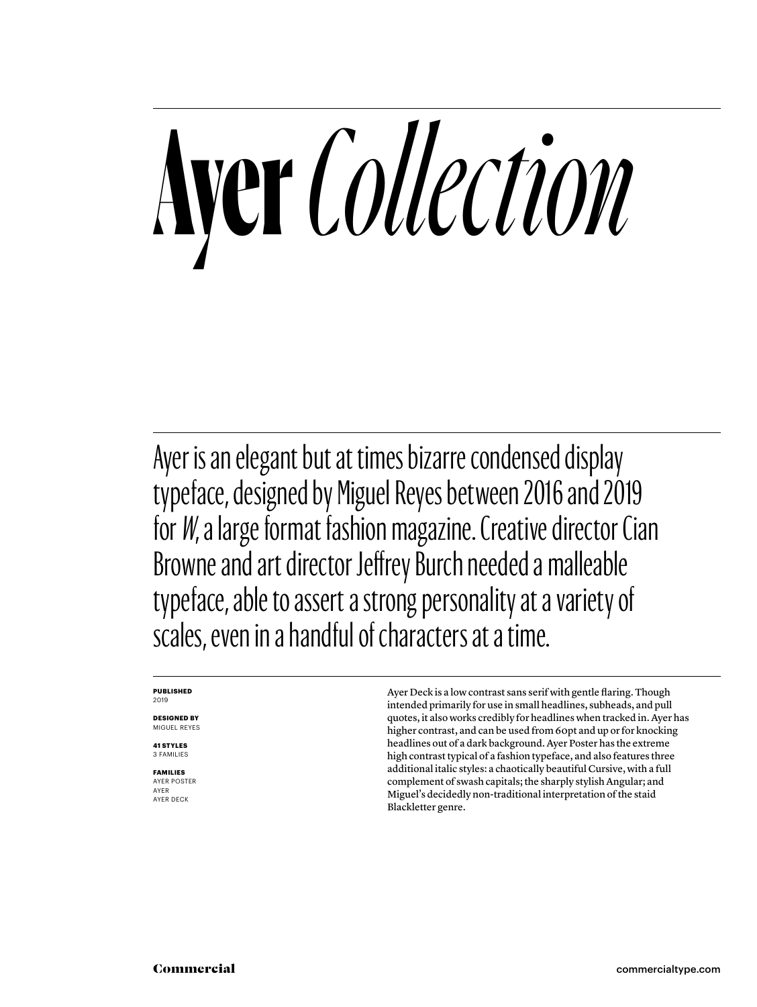## **Ayer** *Collection*

Ayer is an elegant but at times bizarre condensed display typeface, designed by Miguel Reyes between 2016 and 2019 for *W*, a large format fashion magazine. Creative director Cian Browne and art director Jeffrey Burch needed a malleable typeface, able to assert a strong personality at a variety of scales, even in a handful of characters at a time.

#### **PUBLISHED** 2019

**DESIGNED BY** MIGUEL REYES

**41 STYLES** 3 FAMILIES

**FAMILIES** AYER POSTER AYER AYER DECK

Ayer Deck is a low contrast sans serif with gentle flaring. Though intended primarily for use in small headlines, subheads, and pull quotes, it also works credibly for headlines when tracked in. Ayer has higher contrast, and can be used from 60pt and up or for knocking headlines out of a dark background. Ayer Poster has the extreme high contrast typical of a fashion typeface, and also features three additional italic styles: a chaotically beautiful Cursive, with a full complement of swash capitals; the sharply stylish Angular; and Miguel's decidedly non-traditional interpretation of the staid Blackletter genre.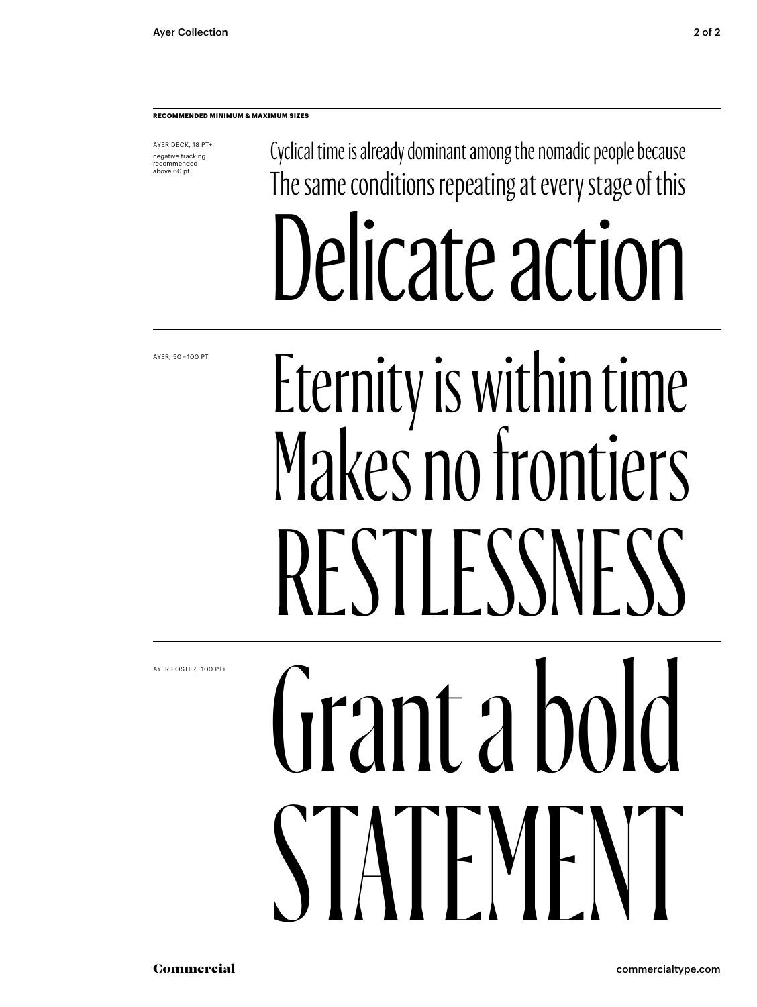AYER DECK, 18 PT+ negative tracking recommended above 60 pt

Cyclical time is already dominant among the nomadic people because The same conditions repeating at every stage of this Delicate action

AYER, 50 – 100 PT

### Eternity is within time Makes no frontiers RESTLESSNESS

AYER POSTER,  100 PT+

## Grant a bold STATEMENT

Commercial commercialtype.com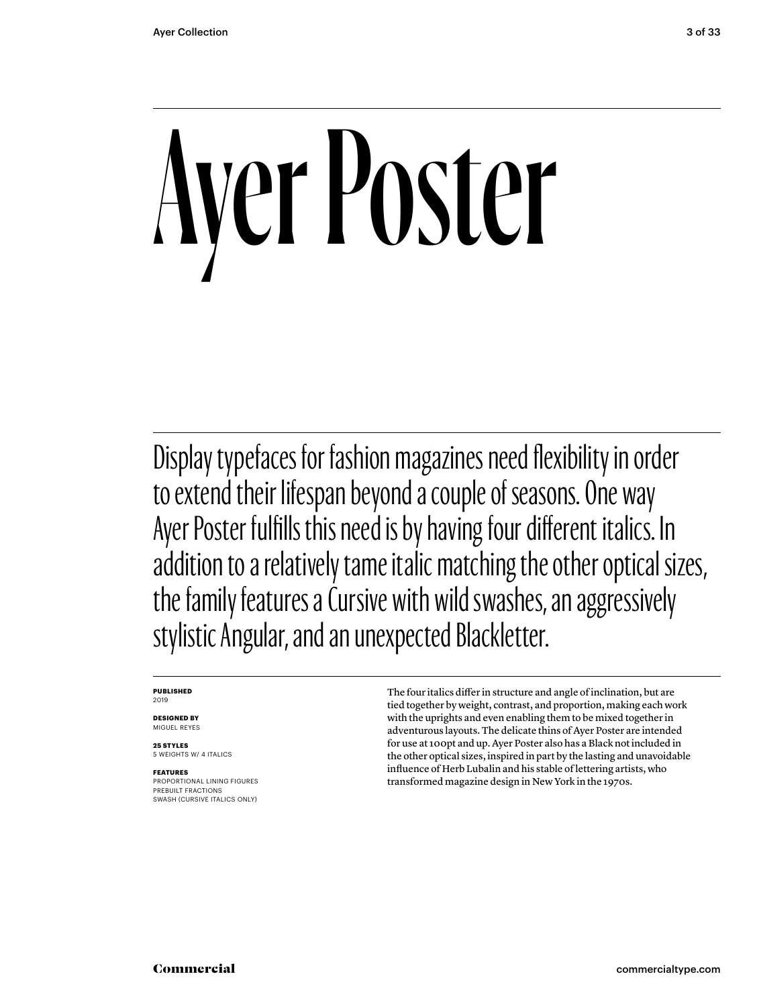# Ayer Poster

Display typefaces for fashion magazines need flexibility in order to extend their lifespan beyond a couple of seasons. One way Ayer Poster fulfills this need is by having four different italics. In addition to a relatively tame italic matching the other optical sizes, the family features a Cursive with wild swashes, an aggressively stylistic Angular, and an unexpected Blackletter.

#### **PUBLISHED** 2019

**DESIGNED BY** MIGUEL REYES

**25 STYLES** 5 WEIGHTS W/ 4 ITALICS

#### **FEATURES** PROPORTIONAL LINING FIGURES PREBUILT FRACTIONS

SWASH (CURSIVE ITALICS ONLY)

The four italics differ in structure and angle of inclination, but are tied together by weight, contrast, and proportion, making each work with the uprights and even enabling them to be mixed together in adventurous layouts. The delicate thins of Ayer Poster are intended for use at 100pt and up. Ayer Poster also has a Black not included in the other optical sizes, inspired in part by the lasting and unavoidable influence of Herb Lubalin and his stable of lettering artists, who transformed magazine design in New York in the 1970s.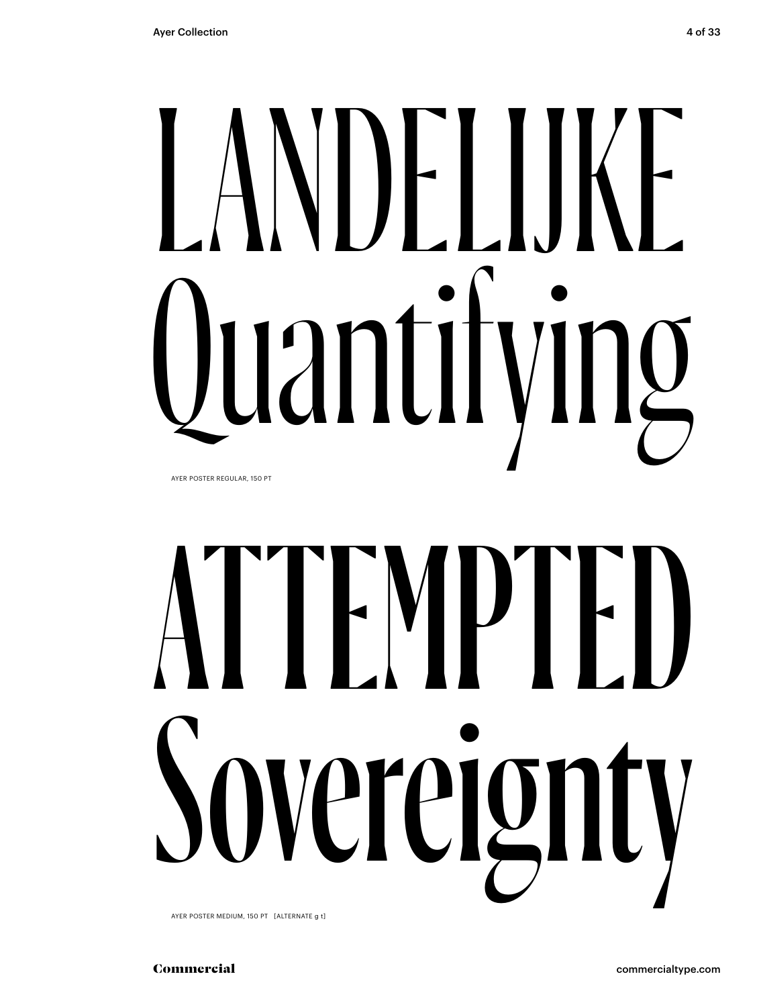# NDELIJKE<br>Iantifving Luanti

AYER POSTER REGULAR, 150 PT

# ATTEMPTED ereign

AYER POSTER MEDIUM, 150 PT [ALTERNATE g t]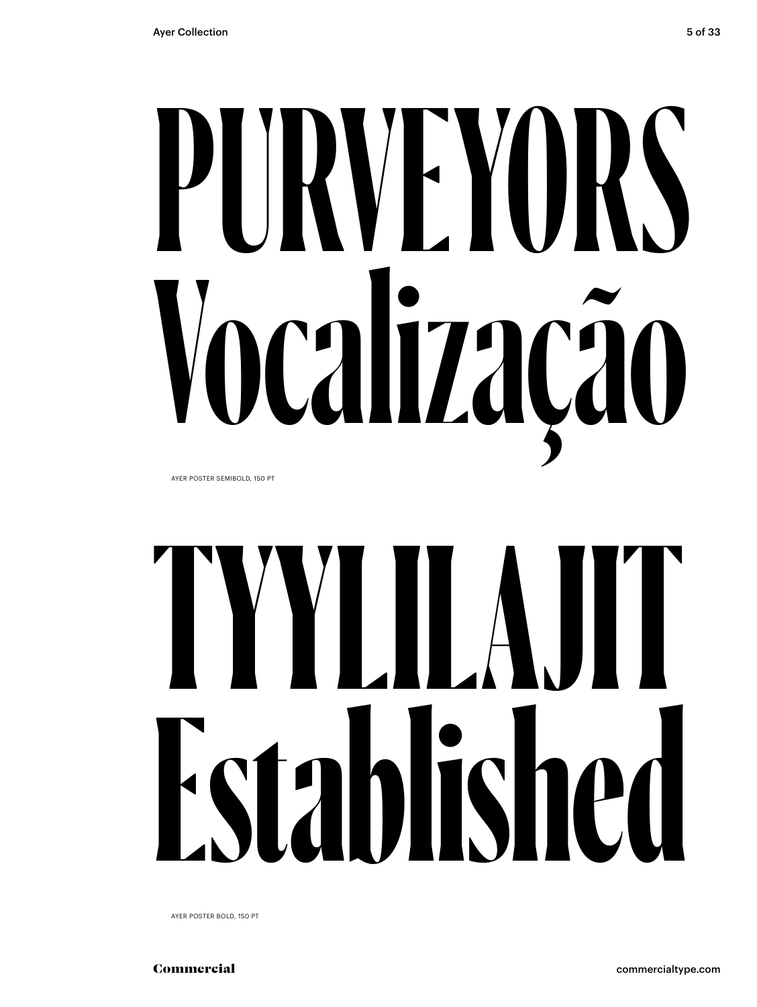# **PURVEYORS Vocalização**

AYER POSTER SEMIBOLD, 150 PT

## **TYYLILAJIT Established**

AYER POSTER BOLD, 150 PT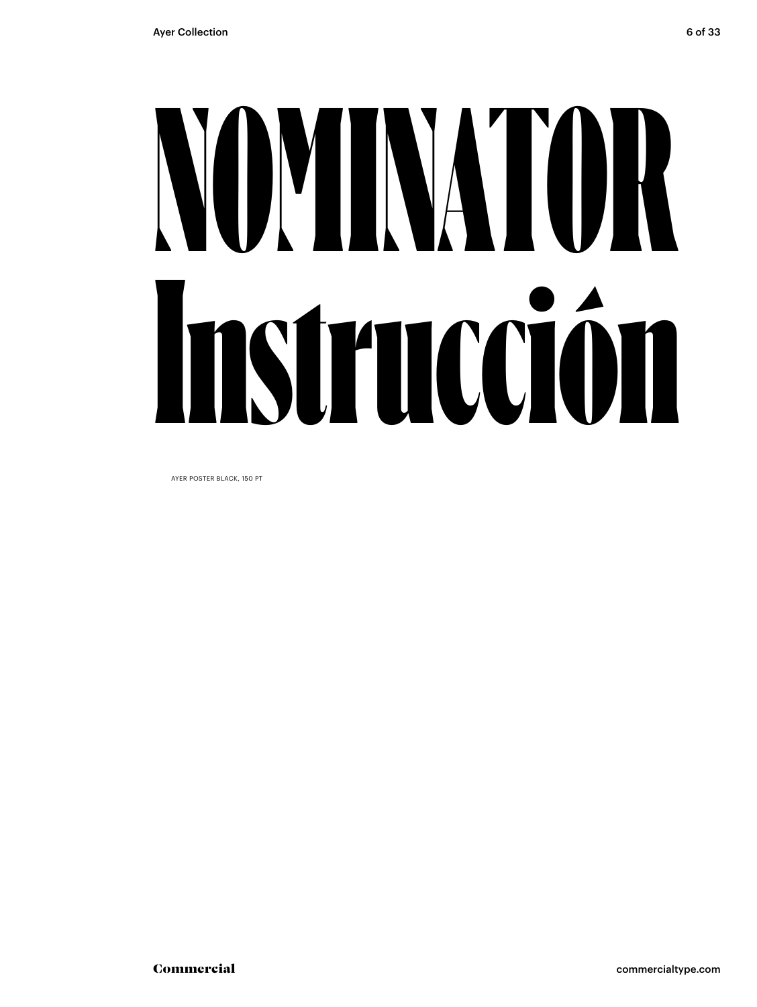## NOMINATOR Instrucción

AYER POSTER BLACK, 150 PT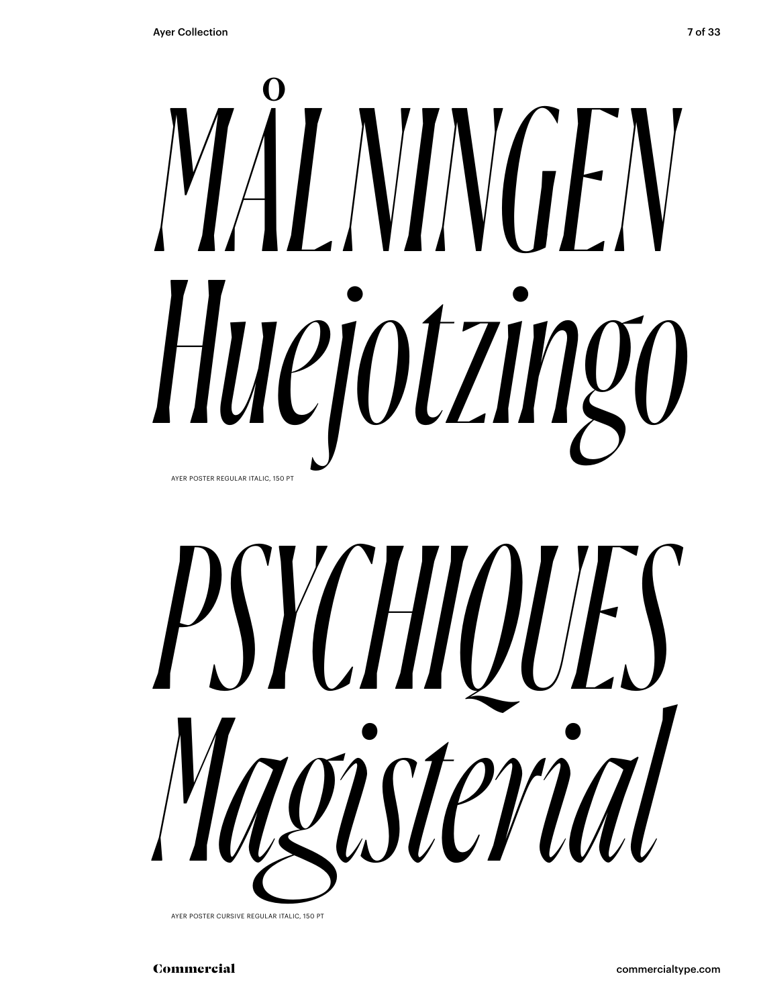## *MÅLNINGEN Huejotzingo* AYER POSTER REGULAR ITALIC, 150 PT



AYER POSTER CURSIVE REGULAR ITALIC, 150 PT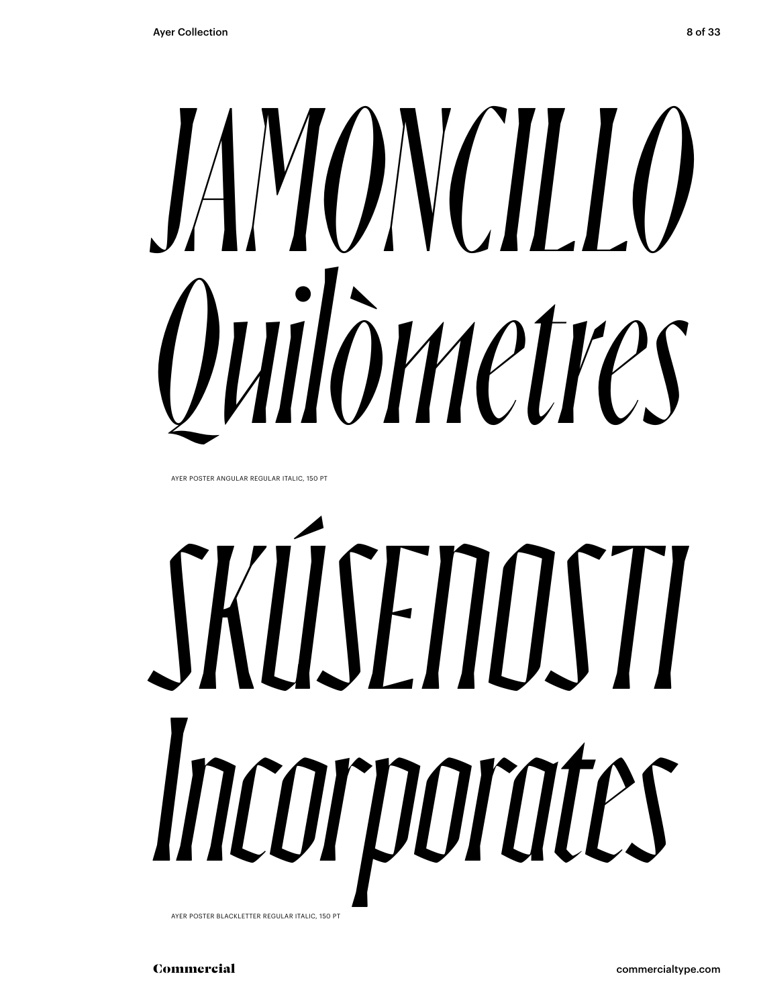# *JAMONCILLO Quilòmetres*

AYER POSTER ANGULAR REGULAR ITALIC, 150 PT

# *SKÚSENOSTI Incorporates*

AYER POSTER BLACKLETTER REGULAR ITALIC, 150 PT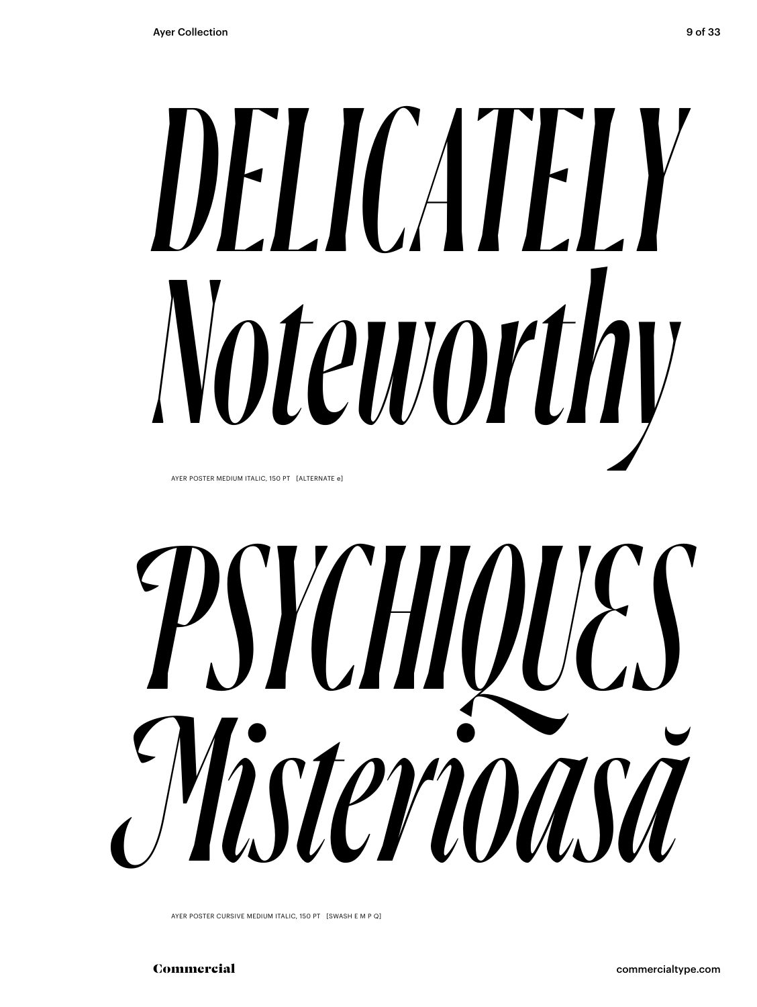## *DELICATELY Noteworthy* AYER POSTER MEDIUM ITALIC, 150 PT [ALTERNATE e]

*PSYCHIQUES Misterioasă*

AYER POSTER CURSIVE MEDIUM ITALIC, 150 PT [SWASH E M P Q]

Commercial commercialtype.com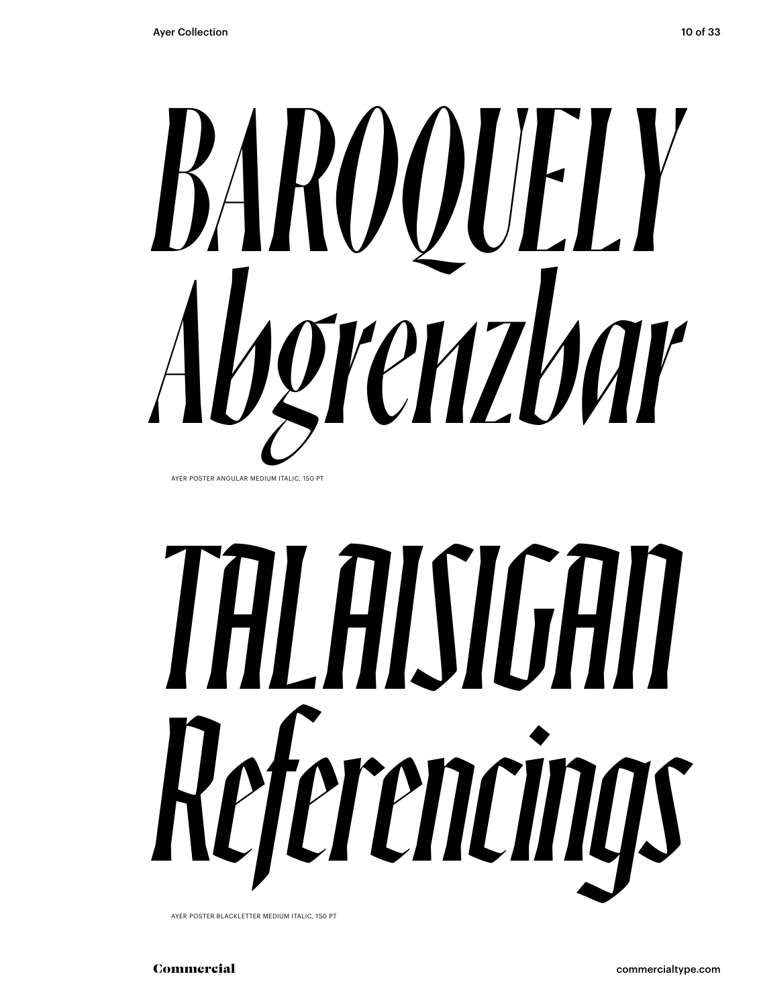

AYER POSTER ANGULAR MEDIUM ITALIC, 150 PT

# *TALAISIGAN Referencings*

AYER POSTER BLACKLETTER MEDIUM ITALIC, 150 PT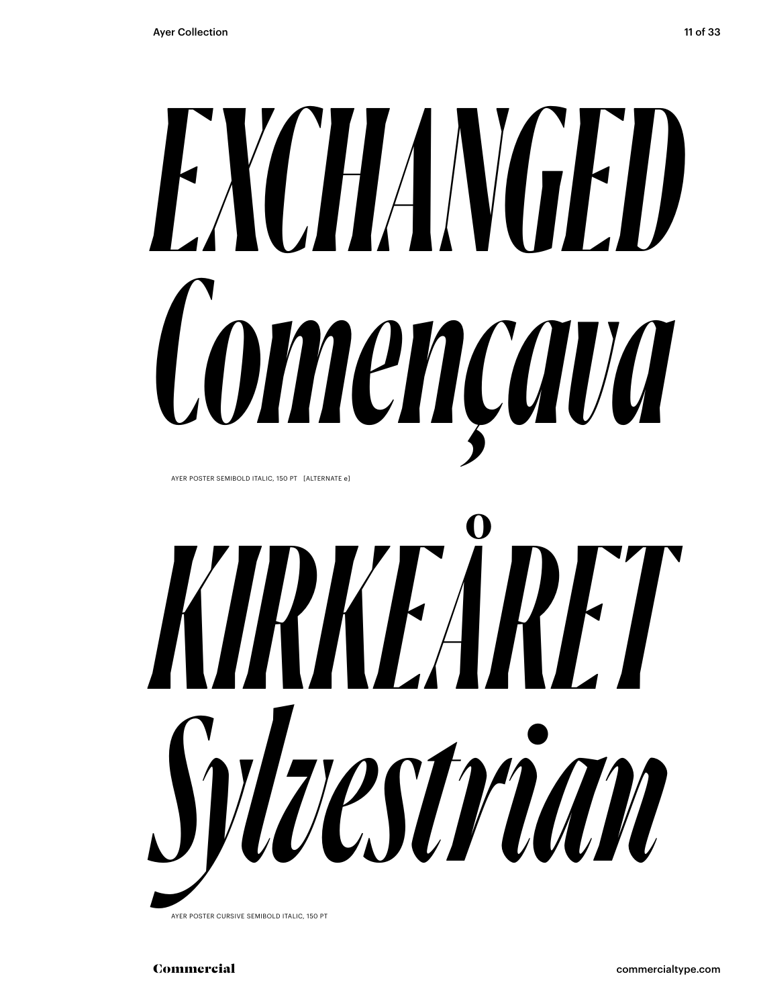## *EXCHANGED Començava* AYER POSTER SEMIBOLD ITALIC, 150 PT [ALTERNATE e]



AYER POSTER CURSIVE SEMIBOLD ITALIC, 150 PT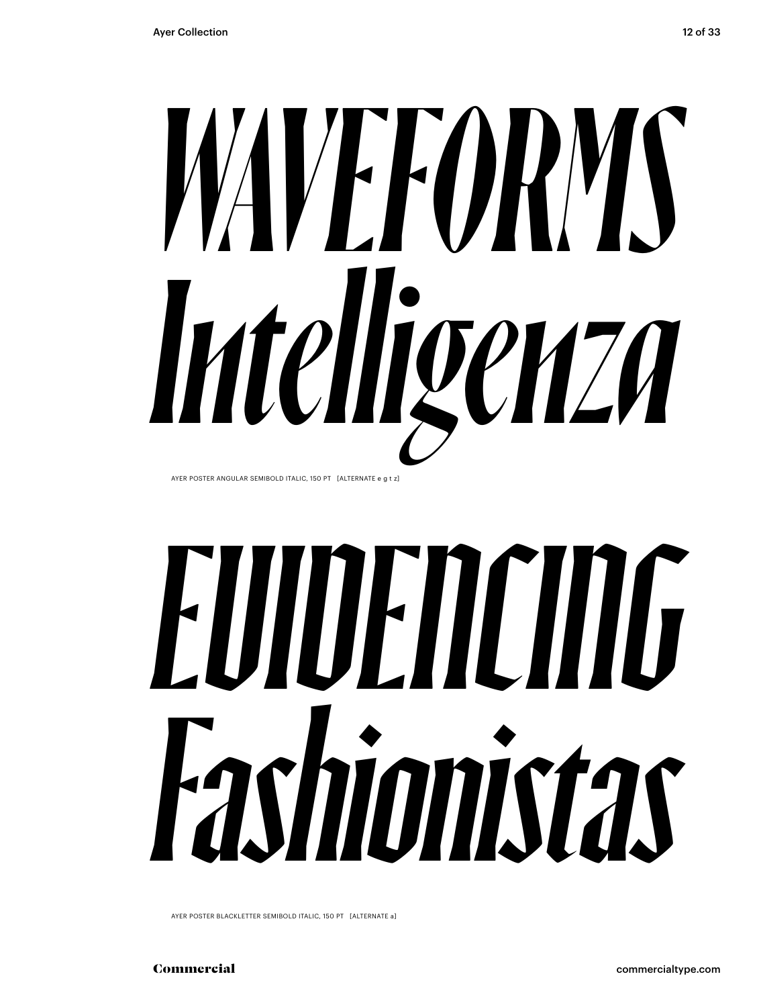

AYER POSTER ANGULAR SEMIBOLD ITALIC, 150 PT [ALTERNATE e g t z]

## *EVIDENCING Fashionistas*

AYER POSTER BLACKLETTER SEMIBOLD ITALIC, 150 PT [ALTERNATE a]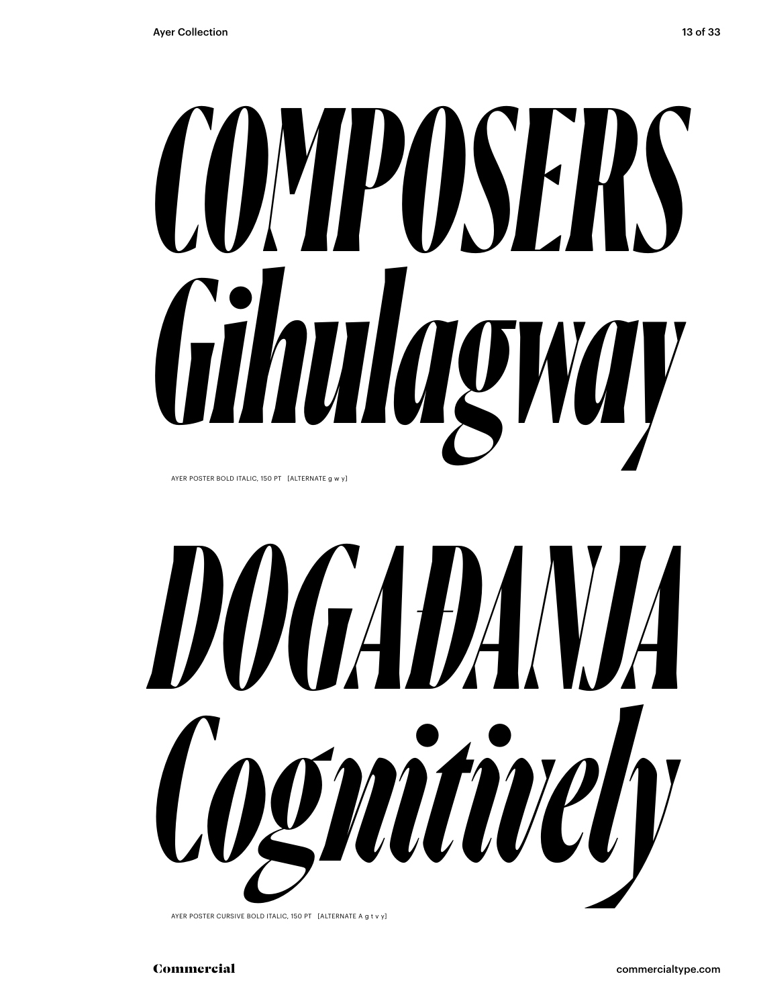# *COMPOSERS Gihulagway*

AYER POSTER BOLD ITALIC, 150 PT [ALTERNATE g w y]



AYER POSTER CURSIVE BOLD ITALIC, 150 PT [ALTERNATE A g t v y]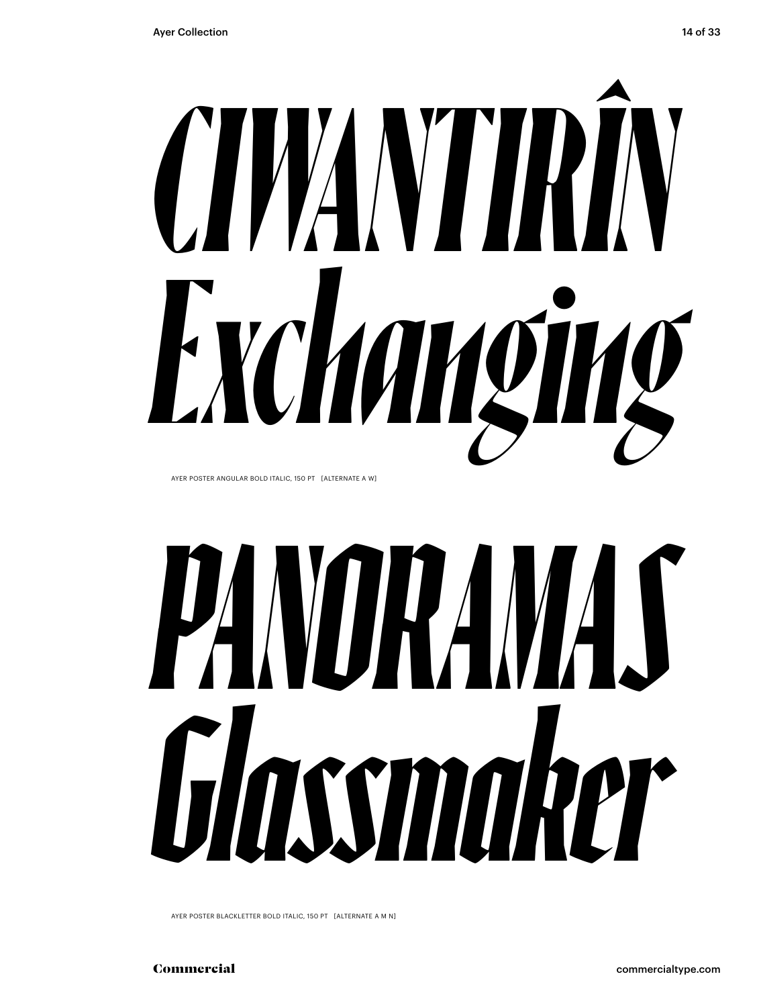AYER POSTER ANGULAR BOLD ITALIC, 150 PT [ALTERNATE A W]

# *PANORAMAS Glassmaker*

*Exchanging* 

AYER POSTER BLACKLETTER BOLD ITALIC, 150 PT [ALTERNATE A M N]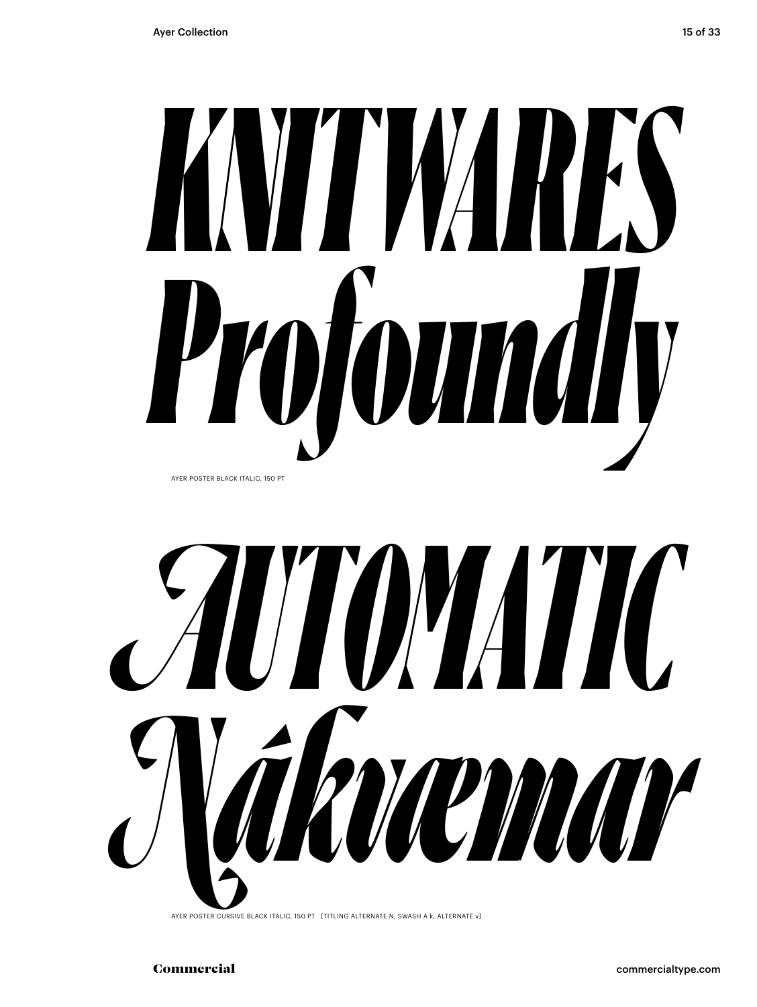



AYER POSTER CURSIVE BLACK ITALIC, 150 PT [TITLING ALTERNATE N, SWASH A k, ALTERNATE v]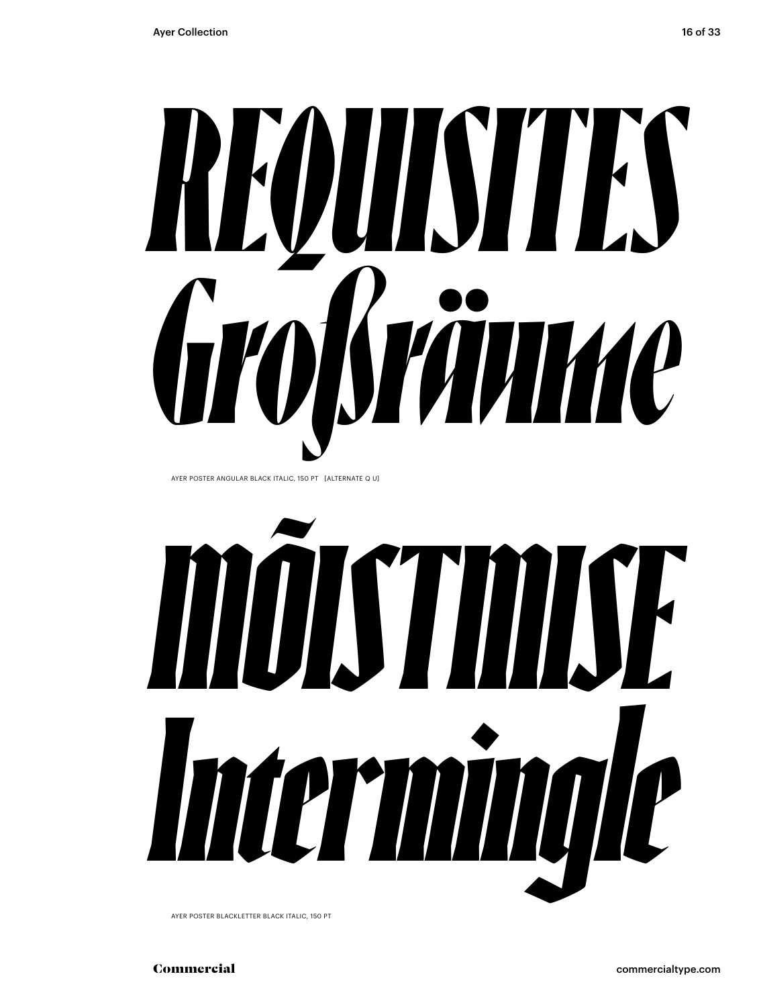

AYER POSTER BLACKLETTER BLACK ITALIC, 150 PT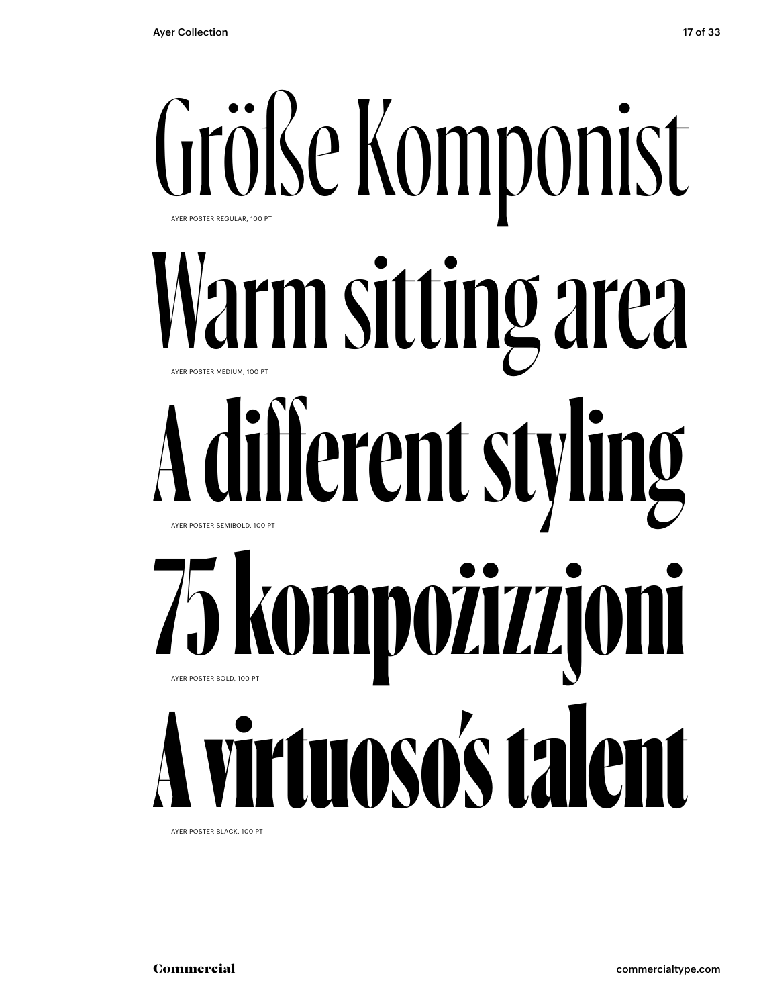

AYER POSTER BLACK, 100 PT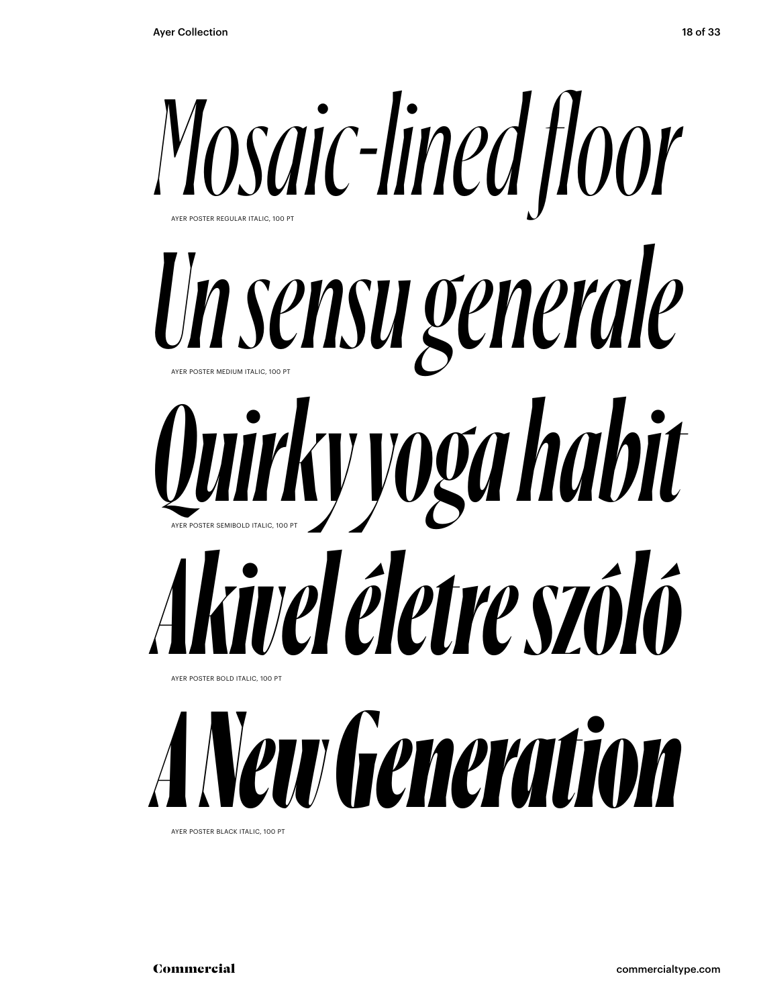

AYER POSTER BLACK ITALIC, 100 PT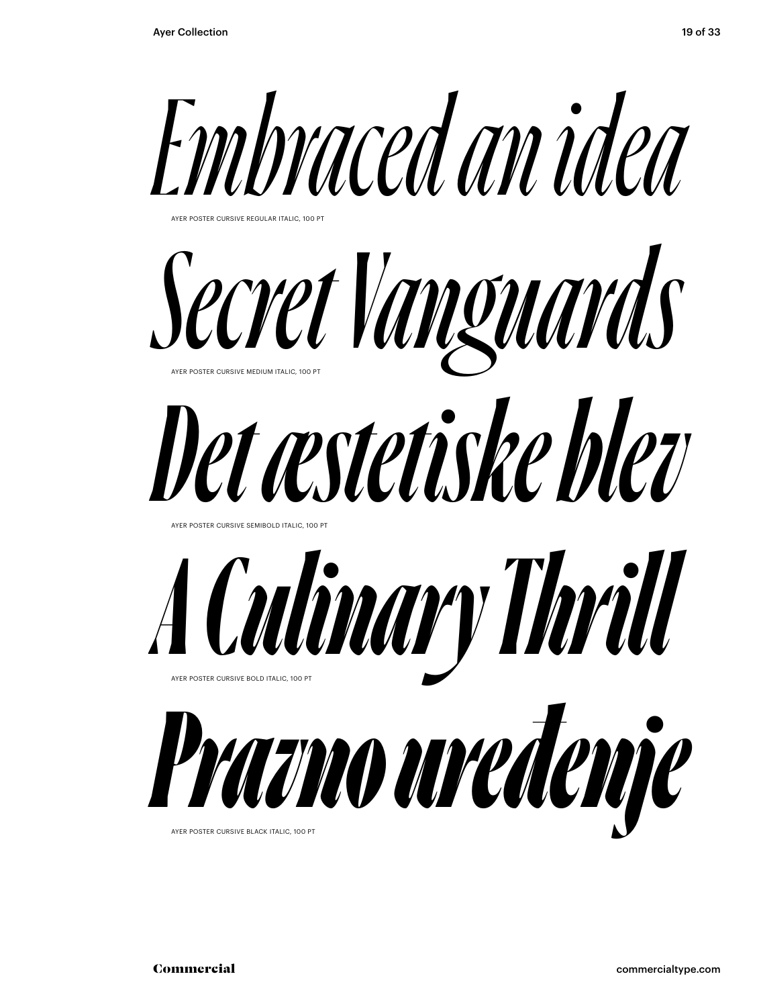



AYER POSTER CURSIVE BLACK ITALIC, 100 P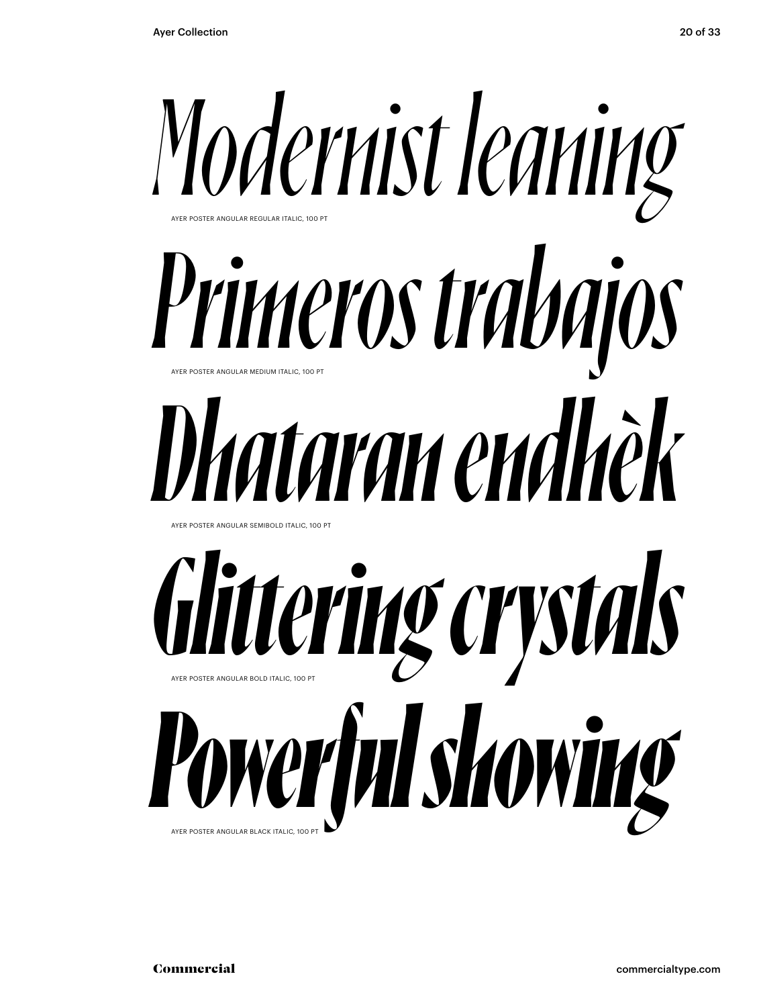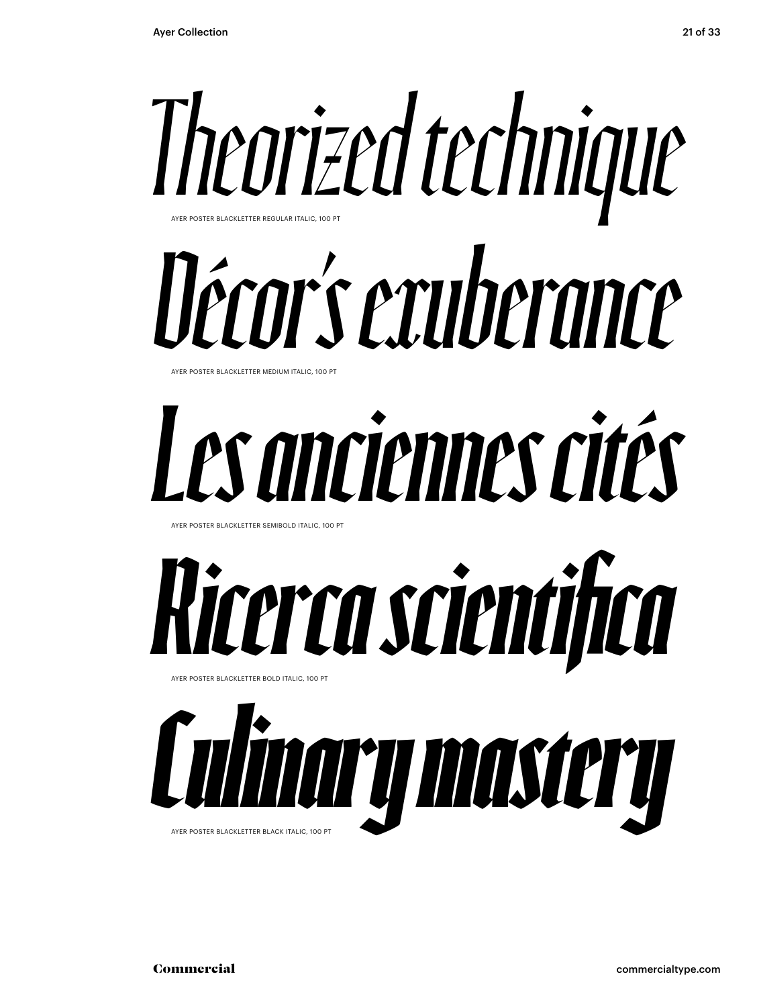

## *Décor's exuberance*

AYER POSTER BLACKLETTER MEDIUM ITALIC, 100 PT

### *Les anciennes cités*

AYER POSTER BLACKLETTER SEMIBOLD ITALIC, 100 PT



*Culinary mastery* AYER POSTER BLACKLETTER BLACK ITALIC, 100 PT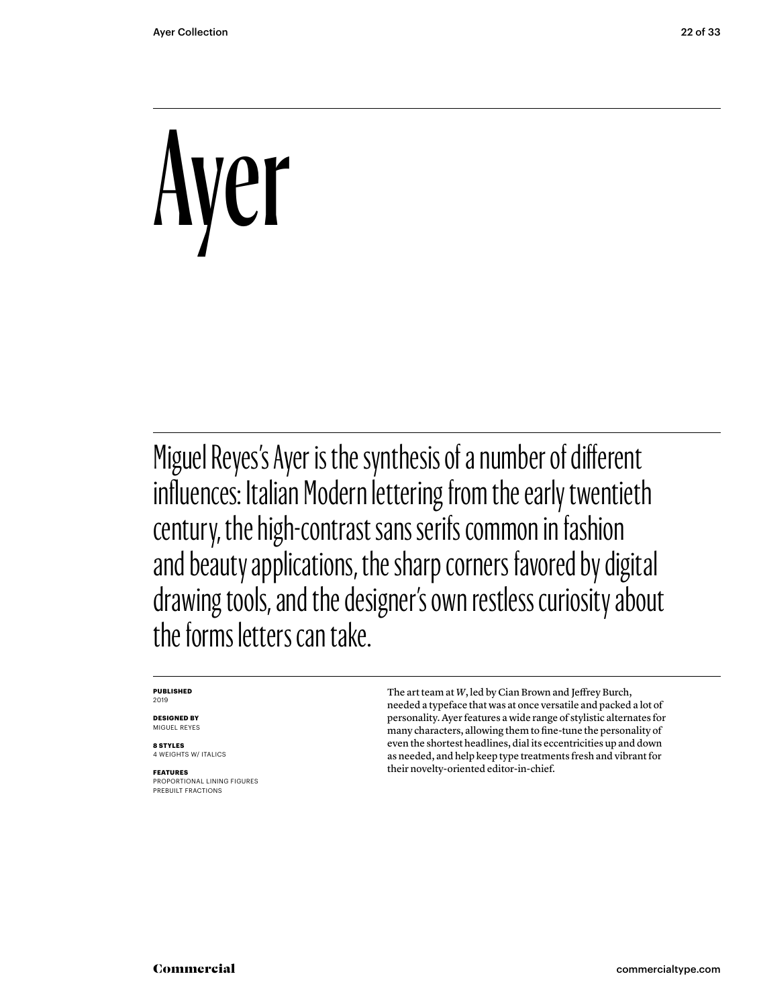## Ayer

Miguel Reyes's Ayer is the synthesis of a number of different influences: Italian Modern lettering from the early twentieth century, the high-contrast sans serifs common in fashion and beauty applications, the sharp corners favored by digital drawing tools, and the designer's own restless curiosity about the forms letters can take.

#### **PUBLISHED** 2019

**DESIGNED BY** MIGUEL REYES

**8 STYLES** 4 WEIGHTS W/ ITALICS

**FEATURES** PROPORTIONAL LINING FIGURES PREBUILT FRACTIONS

The art team at *W*, led by Cian Brown and Jeffrey Burch, needed a typeface that was at once versatile and packed a lot of personality. Ayer features a wide range of stylistic alternates for many characters, allowing them to fine-tune the personality of even the shortest headlines, dial its eccentricities up and down as needed, and help keep type treatments fresh and vibrant for their novelty-oriented editor-in-chief.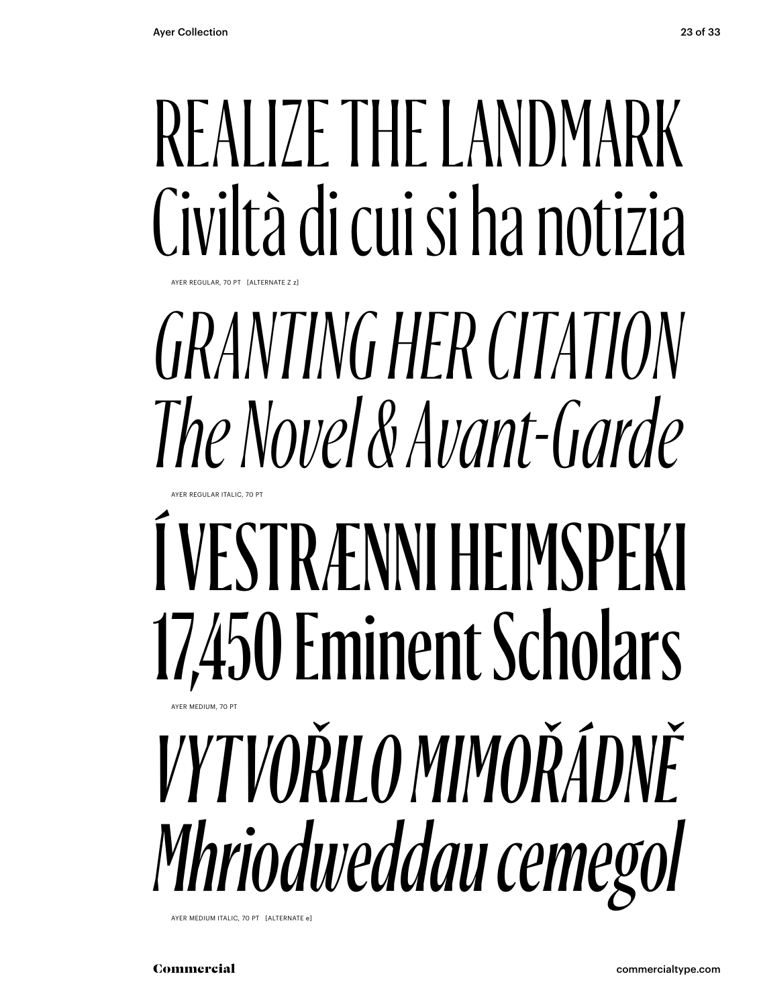### REALIZE THE LANDMARK Civiltà di cui si ha notizia

AYER REGULAR, 70 PT [ALTERNATE Z z]

AYER REGULAR ITALIC, 70 PT

### *GRANTING HER CITATION The Novel & Avant-Garde*

### Í VESTRÆNNI HEIMSPEKI 17,450 Eminent Scholars *VYTVOŘILO MIMOŘÁDNĚ* **AYER MEDIUM, 70 F**

*Mhriodweddau cemegol*

AYER MEDIUM ITALIC, 70 PT [ALTERNATE e]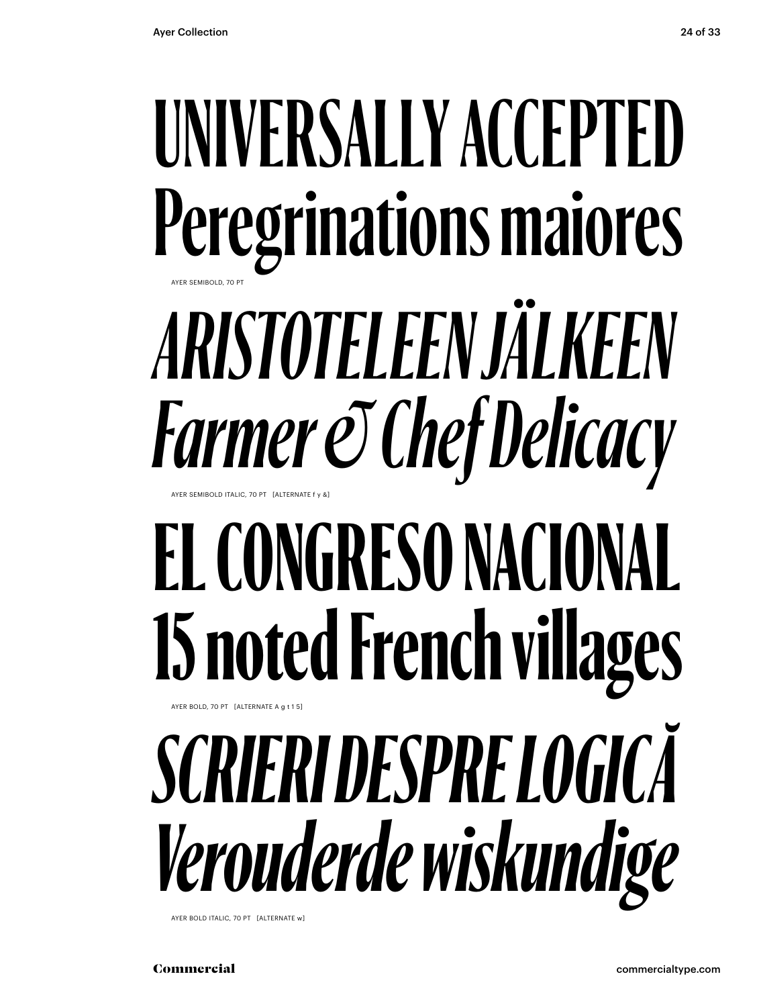### **UNIVERSALLY ACCEPTED Peregrinations maiores** *ARISTOTELEEN JÄLKEEN Farmer & Chef Delicacy* AYER SEMIBOLD, 70 PT AYER SEMIBOLD ITALIC, 70 PT [ALTERNATE f y &]

### **EL CONGRESO NACIONAL 15 noted French villages** AYER BOLD, 70 PT [ALTERNATE A g t 1 5]

### *SCRIERI DESPRE LOGICĂ Verouderde wiskundige*

AYER BOLD ITALIC, 70 PT [ALTERNATE w]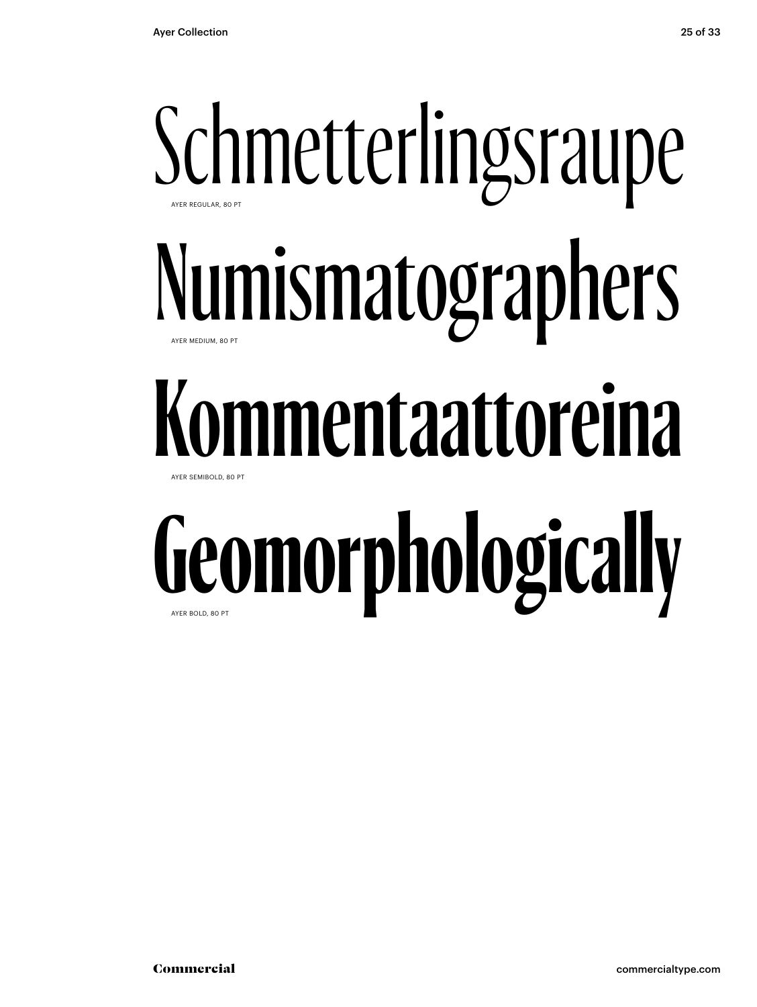### Schmetterlingsraupe Numismatographers **Kommentaattoreina Geomorphologically** AYER REGULAR, 80 PT AYER MEDIUM, 80 PT AYER SEMIBOLD, 80 PT AYER BOLD, 80 PT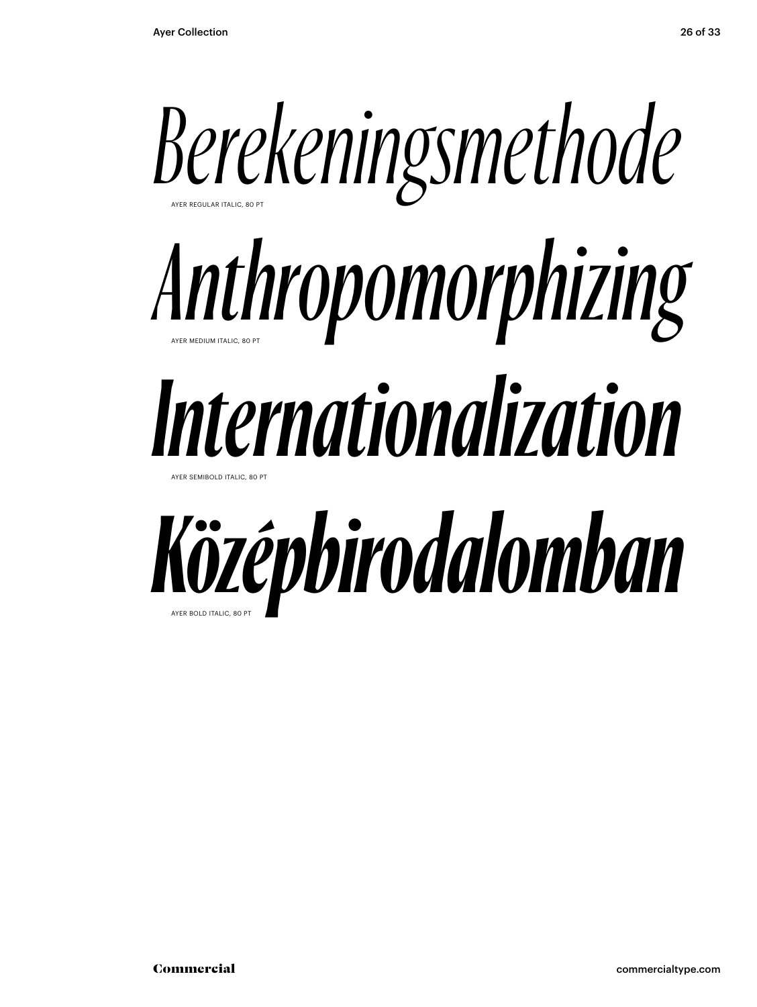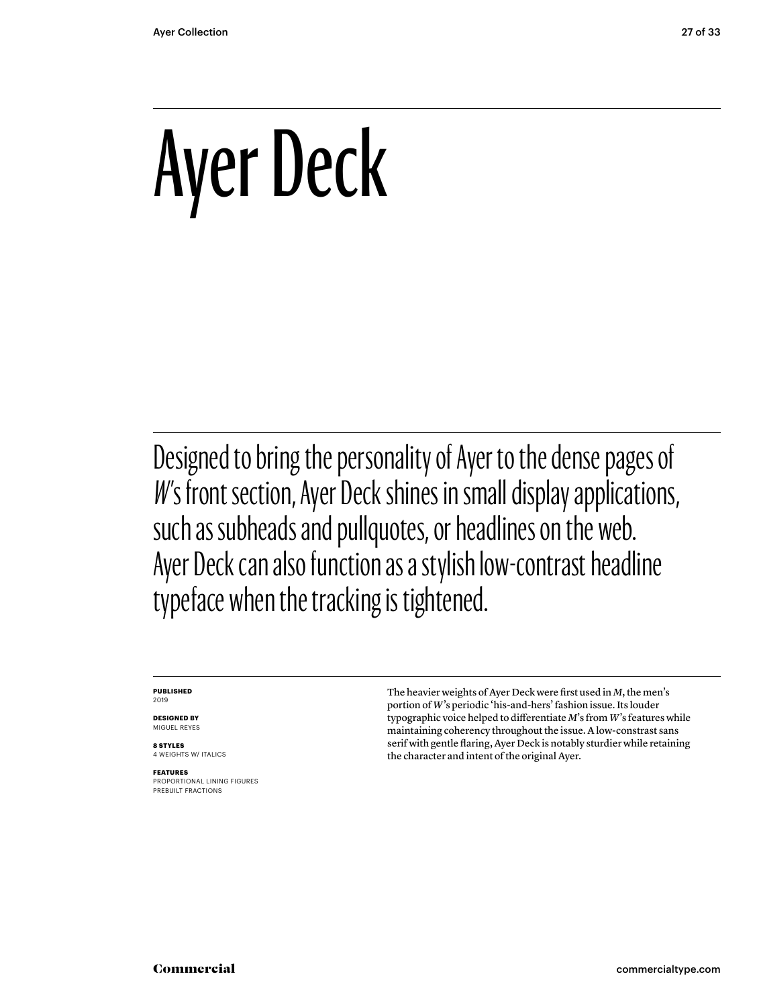### Ayer Deck

Designed to bring the personality of Ayer to the dense pages of W's front section, Ayer Deck shines in small display applications, such as subheads and pullquotes, or headlines on the web. Ayer Deck can also function as a stylish low-contrast headline typeface when the tracking is tightened.

#### **PUBLISHED** 2019

**DESIGNED BY** MIGUEL REYES

**8 STYLES** 4 WEIGHTS W/ ITALICS

**FEATURES** PROPORTIONAL LINING FIGURES PREBUILT FRACTIONS

The heavier weights of Ayer Deck were first used in *M*, the men's portion of *W*'s periodic 'his-and-hers' fashion issue. Its louder typographic voice helped to differentiate *M*'s from *W*'s features while maintaining coherency throughout the issue. A low-constrast sans serif with gentle flaring, Ayer Deck is notably sturdier while retaining the character and intent of the original Ayer.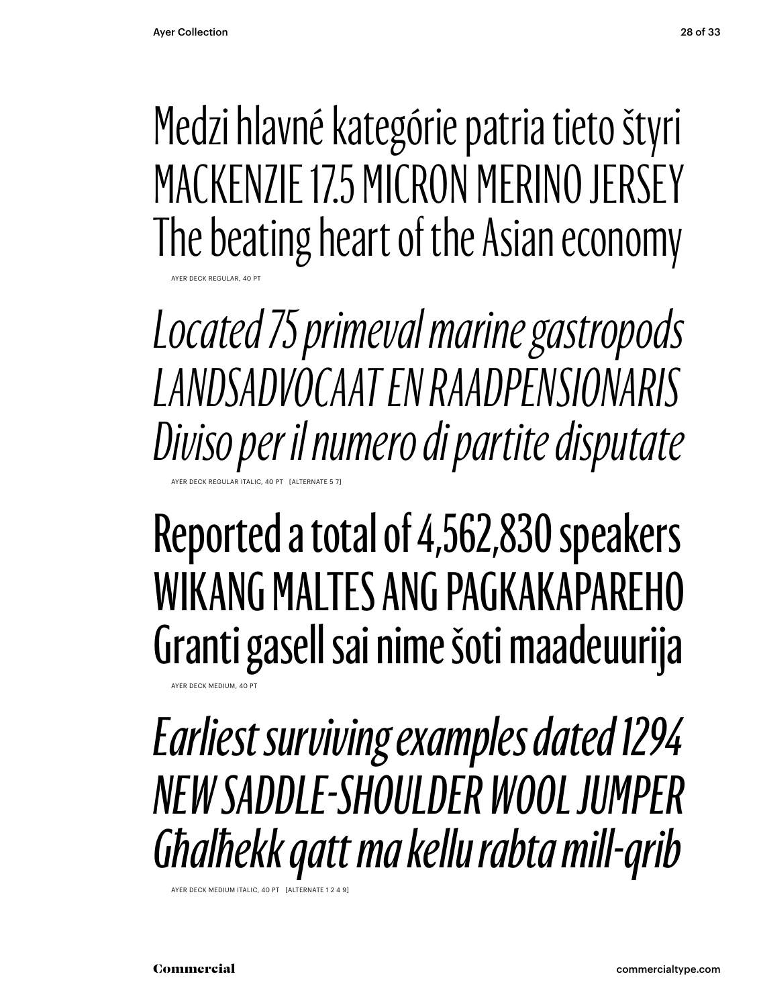AYER DECK REGULAR, 40 PT

Medzi hlavné kategórie patria tieto štyri MACKENZIE 17.5 MICRON MERINO JERSEY The beating heart of the Asian economy

*Located 75 primeval marine gastropods LANDSADVOCAAT EN RAADPENSIONARIS Diviso per il numero di partite disputate* A BECK REGULAR ITALIC, 40 RT. EALTERNATE

#### Reported a total of 4,562,830 speakers WIKANG MALTES ANG PAGKAKAPAREHO Granti gasell sai nime šoti maadeuurija

AYER DECK MEDIUM, 40 P

*Earliest surviving examples dated 1294 NEW SADDLE-SHOULDER WOOL JUMPER Għalħekk qatt ma kellu rabta mill-qrib*

AYER DECK MEDIUM ITALIC, 40 PT [ALTERNATI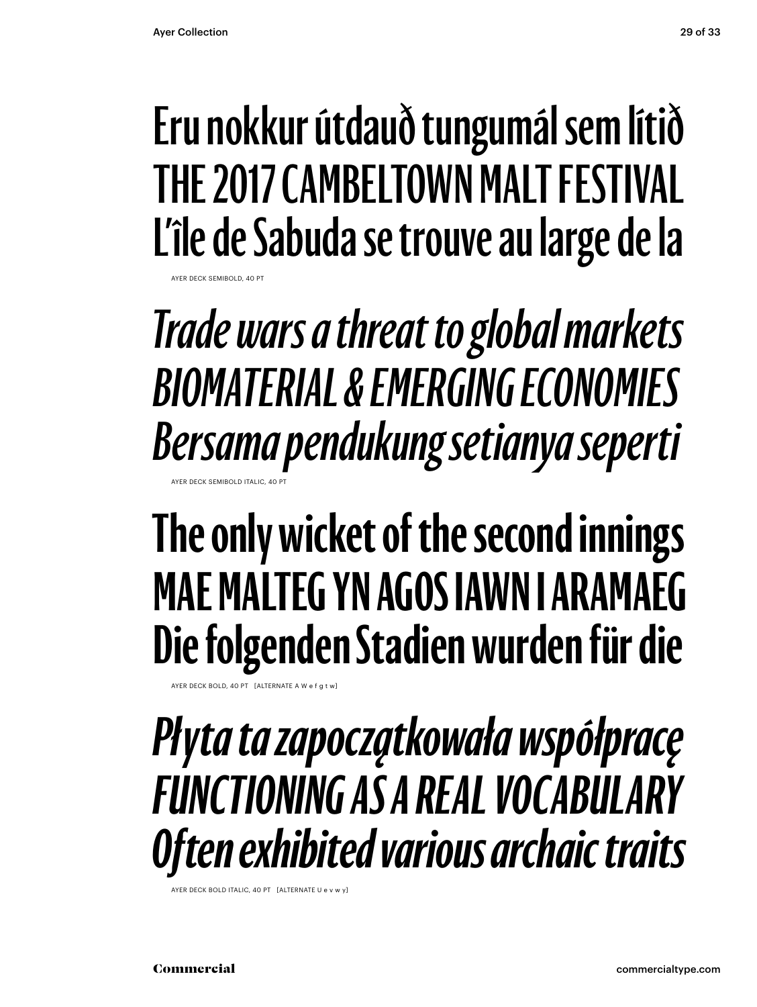AYER DECK SEMIBOLD, 40 PT

#### **Eru nokkur útdauð tungumál sem lítið THE 2017 CAMBELTOWN MALT FESTIVAL L'île de Sabuda se trouve au large de la**

*Trade wars a threat to global markets BIOMATERIAL & EMERGING ECONOMIES Bersama pendukung setianya seperti* AYER DECK SEMIBOLD ITALIC, 40

### **The only wicket of the second innings MAE MALTEG YN AGOS IAWN I ARAMAEG Die folgenden Stadien wurden für die**

AYER DECK BOLD, 40 PT  $\left[$  ALTERNATE A W e f g

*Płyta ta zapoczątkowała współpracę FUNCTIONING AS A REAL VOCABULARY Often exhibited various archaic traits*

AYER DECK BOLD ITALIC, 40 PT [ALTERNATE U e v w y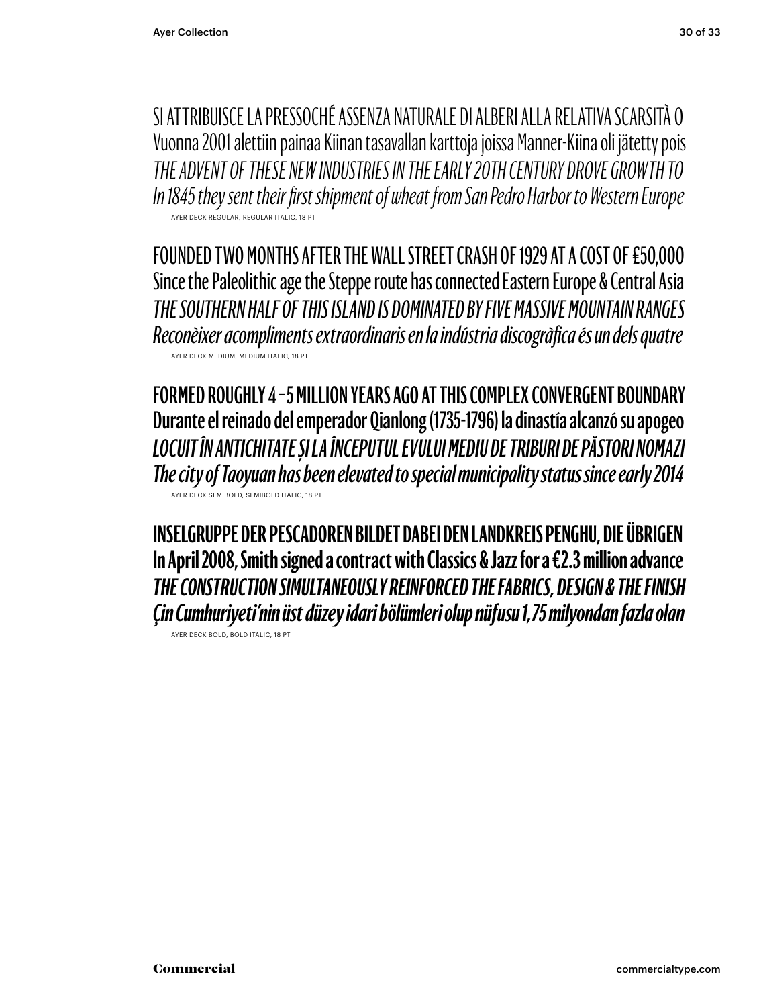SI ATTRIBUISCE LA PRESSOCHÉ ASSENZA NATURALE DI ALBERI ALLA RELATIVA SCARSITÀ O Vuonna 2001 alettiin painaa Kiinan tasavallan karttoja joissa Manner-Kiina oli jätetty pois *THE ADVENT OF THESE NEW INDUSTRIES IN THE EARLY 20TH CENTURY DROVE GROWTH TO In 1845 they sent their first shipment of wheat from San Pedro Harbor to Western Europe* AYER DECK REGULAR, REGULAR ITALIC, 18 PT

FOUNDED TWO MONTHS AFTER THE WALL STREET CRASH OF 1929 AT A COST OF £50,000 Since the Paleolithic age the Steppe route has connected Eastern Europe & Central Asia *THE SOUTHERN HALF OF THIS ISLAND IS DOMINATED BY FIVE MASSIVE MOUNTAIN RANGES Reconèixer acompliments extraordinaris en la indústria discogràfica és un dels quatre* AYER DECK MEDIUM, MEDIUM ITALIC, 18 PT

**FORMED ROUGHLY 4 – 5 MILLION YEARS AGO AT THIS COMPLEX CONVERGENT BOUNDARY Durante el reinado del emperador Qianlong (1735-1796) la dinastía alcanzó su apogeo** *LOCUIT ÎN ANTICHITATE ȘI LA ÎNCEPUTUL EVULUI MEDIU DE TRIBURI DE PĂSTORI NOMAZI The city of Taoyuan has been elevated to special municipality status since early 2014*  AYER DECK SEMIBOLD, SEMIBOLD ITALIC, 18 PT

**INSELGRUPPE DER PESCADOREN BILDET DABEI DEN LANDKREIS PENGHU, DIE ÜBRIGEN In April 2008, Smith signed a contract with Classics & Jazz for a €2.3 million advance** *THE CONSTRUCTION SIMULTANEOUSLY REINFORCED THE FABRICS, DESIGN & THE FINISH Çin Cumhuriyeti'nin üst düzey idari bölümleri olup nüfusu 1,75 milyondan fazla olan*

AYER DECK BOLD, BOLD ITALIC, 18 PT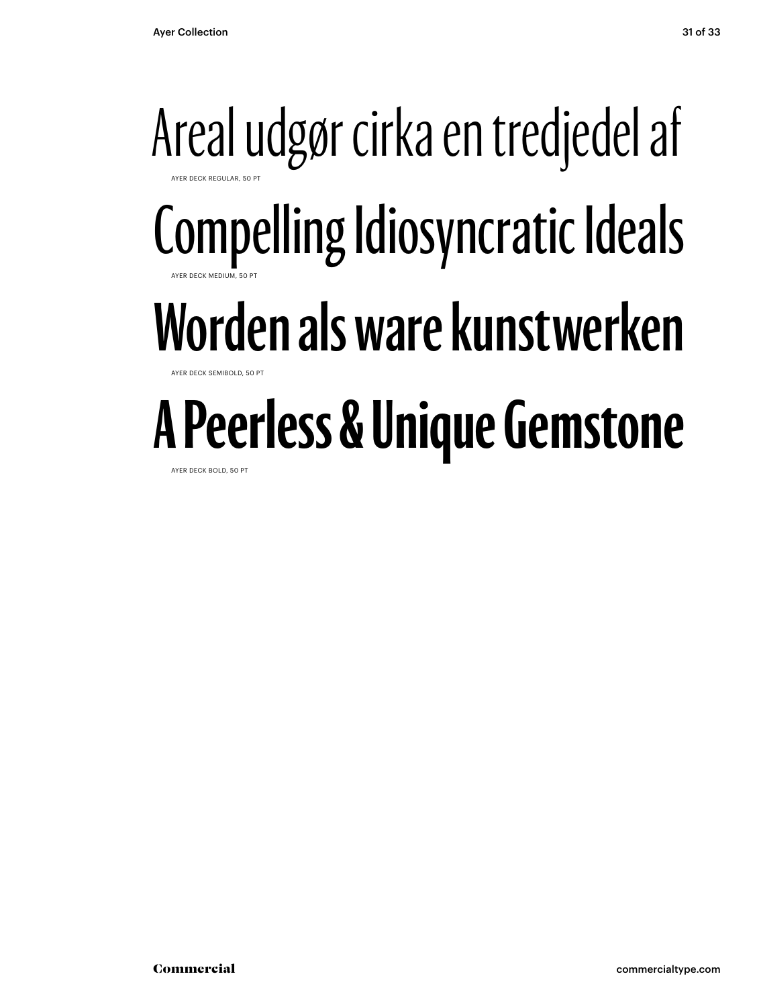#### Areal udgør cirka en tredjedel af AYER DECK REGULAR, 50 PT Compelling Idiosyncratic Ideals AYER DECK MEDIUM, 50 PT **Worden als ware kunstwerken YER DECK SEMIBOLD, 50 A Peerless & Unique Gemstone**

AYER DECK BOLD, 50 PT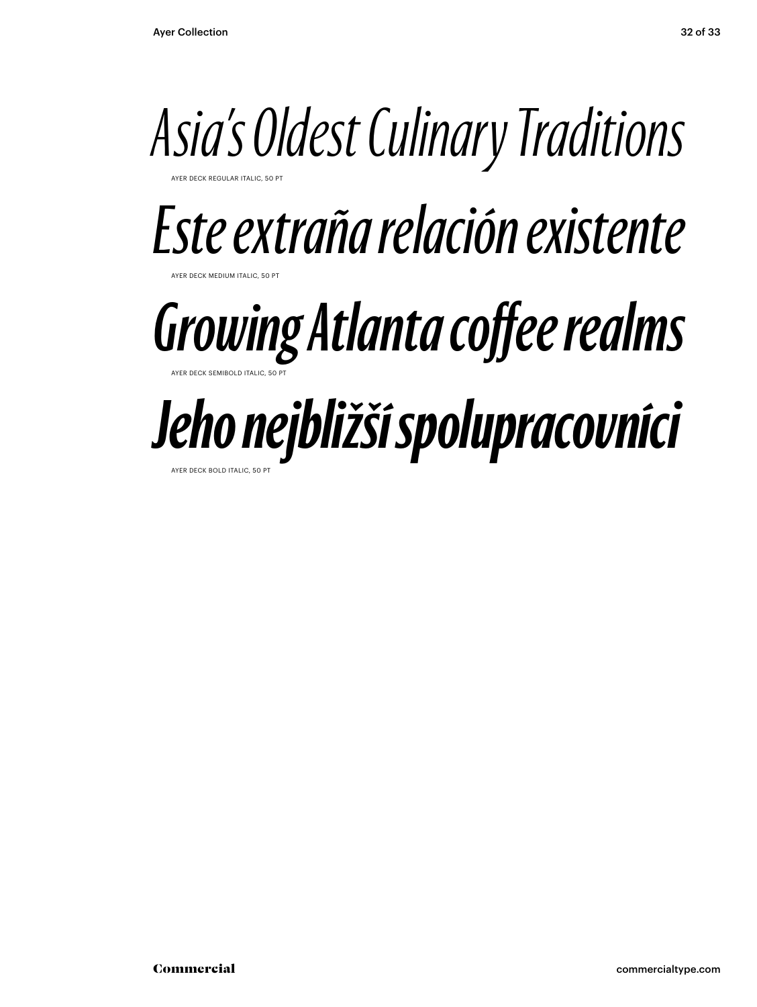

AYER DECK REGULAR ITALIC, 50 PT

### *Este extraña relación existente*

**DECK MEDIUM ITALIC, 50 PT** 

#### *Growing Atlanta coffee realms* AYER DECK SEMIBOLD ITALIC, 50 PT

### *Jeho nejbližší spolupracovníci*

AYER DECK BOLD ITALIC, 50 PT